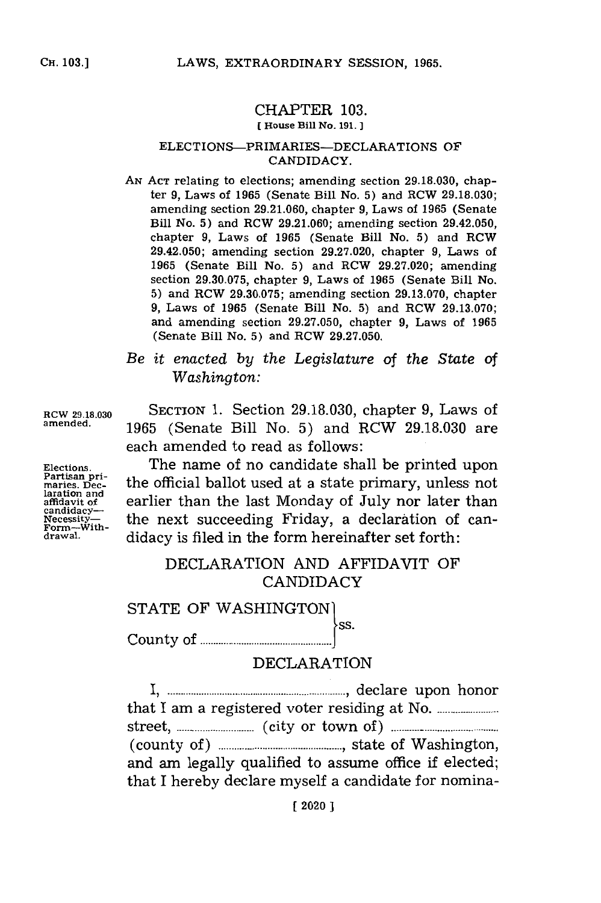### CHAPTER **103.**

#### **[House Bill No. 191. ]**

#### ELECTIONS-PRIMARIES-DECLARATIONS OF **CANDIDACY.**

**AN ACT** relating to elections; amending section **29.18.030,** chapter **9,** Laws of **1965** (Senate Bill No. **5)** and RCW **29.18.030;** amending section **29.21.060,** chapter **9,** Laws of **1965** (Senate Bill No. **5)** and RCW **29.21.060;** amending section 29.42.050, chapter **9,** Laws of **1965** (Senate Bill No. **5)** and RCW 29.42.050; amending section **29.27.020,** chapter **9,** Laws of **1965** (Senate Bill No. **5)** and RCW **29.27.020;** amending section **29.30.075,** chapter **9,** Laws of **1965** (Senate Bill No. **5)** and RCW **29.30.075;** amending section **29.13.070,** chapter **9,** Laws of **1965** (Senate Bill No. **5)** and RCW **29.13.070;** and amending section **29.27.050,** chapter **9,** Laws of **1965** (Senate Bill No. **5)** and RCW **29.27.050.**

# *Be it enacted by the Legislature of the State of Washington:*

**RCW 29.18.030 SECTION 1.** Section **29.18.030,** chapter **9,** Laws of **amended. 1965** (Senate Bill No. **5)** and RCW **29.18.030** are each amended to read as follows:

Elections. **The name of no candidate shall be printed upon**<br>Partisan pri-<br>maries. Dec-<br>the official ballot used at a state primary, unless not the official ballot used at a state primary, unless not laration and<br>affidavit of **earlier than the last Monday of July nor later than**<br>candidacy— Examples the next succeeding Friday, a declaration of can-<br>
Form-with-<br>
didacy is filed in the form hereinafter set forth. didacy is filed in the form hereinafter set forth:

# DECLARATION **AND** AFFIDAVIT OF CANDIDACY

STATE OF WASHINGTON

C ounty of **...... ........ J.......... <sup>s</sup>**

### DECLARATION

**...................... . ........ -.......... ,I** declare upon honor that I am a registered voter residing at No........-----\_ **street.-................** (city or town of). **...................** (county **of)..............................,** state of Washington, and am legally qualified to assume office if elected; that **I** hereby declare myself a candidate for nomina-

**laration and**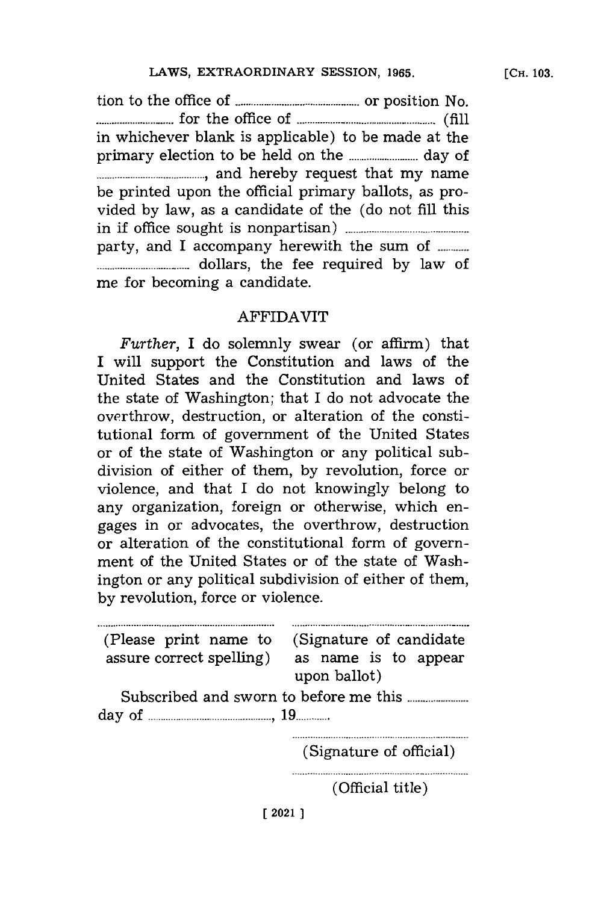tion to the office of **.............................** or position No. **............ ....** for the office of **..........- . ...............(fill** in whichever blank is applicable) to be made at the primary election to be held on the **.................** day of **......................... ,** and hereby request that my name be printed upon the official primary ballots, as provided **by** law, as a candidate of the (do not **fill** this in if office sought is nonpartisan) **........................ ... ..** party, and I accompany herewith the sum of ............ **............... . ..** dollars, the fee required **by** law of me for becoming a candidate.

# AFFIDAVIT

Further, I do solemnly swear (or affirm) that I will support the Constitution and laws of the United States and the Constitution and laws of the state of Washington; that I do not advocate the overthrow, destruction, or alteration of the constitutional form of government of the United States or of the state of Washington or any political subdivision of either of them, **by** revolution, force or violence, and that **I** do not knowingly belong to any organization, foreign or otherwise, which engages in or advocates, the overthrow, destruction or alteration of the constitutional form of government of the United States or of the state of Washington or any political subdivision of either of them, **by** revolution, force or violence.

(Please print name to (Signature of candidate assure correct spelling) as name is to appear upon ballot) Subscribed and sworn to before me this **...................** day of **................................. 19 .....** (Signature of official) (Official title) **[2021]**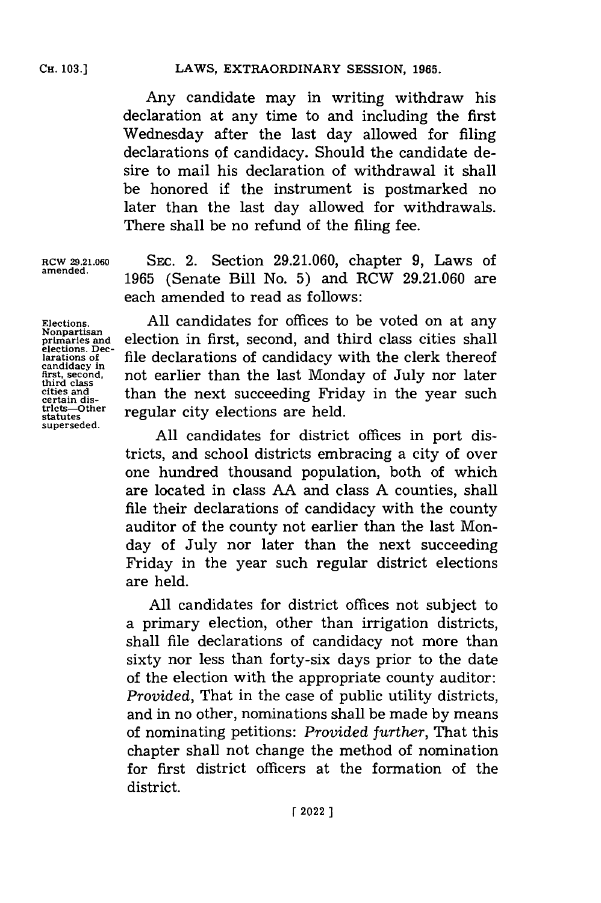Any candidate may in writing withdraw his declaration at any time to and including the first Wednesday after the last day allowed for filing declarations **of** candidacy. Should the candidate desire to mail his declaration of withdrawal it shall be honored if the instrument is postmarked no later than the last day allowed for withdrawals. There shall be no refund of the filing fee.

**RCW 29.21.060** Ssc. 2. Section **29.21.060,** chapter **9,** Laws of **amended. 1965** (Senate Bill No. **5)** and RCW **29.21.060** are each amended to read as follows:

**Elections. Nonpartisan primaries and elections. Declarations of candidacy in first, second, third class cities and certain districts-Other statutes superseded.**

**All** candidates for offices to be voted on at any election in first, second, and third class cities shall file declarations of candidacy with the clerk thereof not earlier than the last Monday of July nor later than the next succeeding Friday in the year such regular city elections are held.

**All** candidates for district offices in port districts, and school districts embracing a city of over one hundred thousand population, both of which are located in class **AA** and class **A** counties, shall file their declarations of candidacy with the county auditor of the county not earlier than the last Monday of July nor later than the next succeeding Friday in the year such regular district elections are held.

**All** candidates for district offices not subject to a primary election, other than irrigation districts, shall file declarations of candidacy not more than sixty nor less than forty-six days prior to the date of the election with the appropriate county auditor: *Provided,* That in the case of public utility districts, and in no other, nominations shall be made **by** means of nominating petitions: *Provided further,* That this chapter shall not change the method of nomination for first district officers at the formation of the district.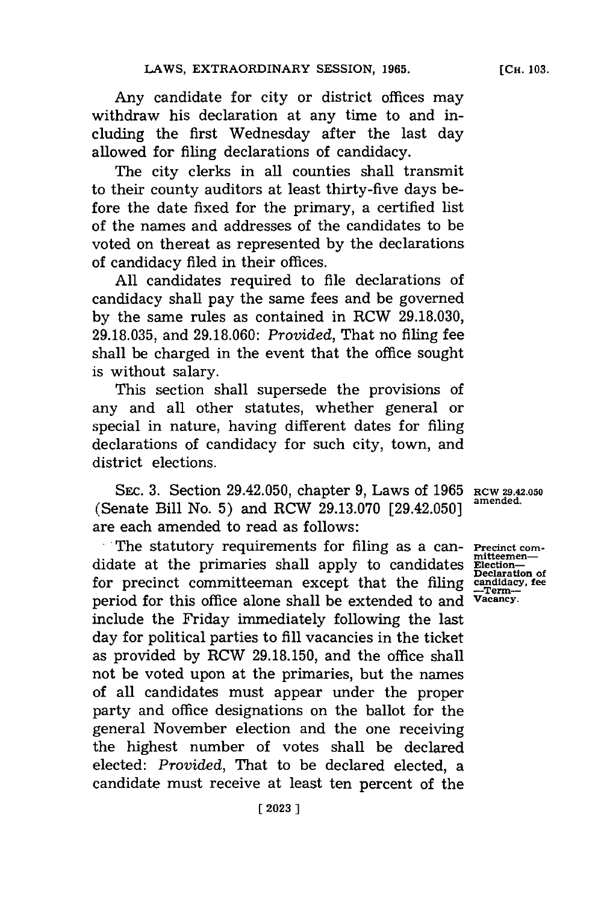Any candidate for city or district offices may withdraw his declaration at any time to and including the first Wednesday after the last day allowed for filing declarations of candidacy.

The city clerks in all counties shall transmit to their county auditors at least thirty-five days before the date fixed for the primary, a certified list of the names and addresses of the candidates to be voted on thereat as represented **by** the declarations of candidacy filed in their offices.

**All** candidates required to file declarations of candidacy shall pay the same fees and be governed **by** the same rules as contained in RCW **29.18.030, 29.18.035,** and **29.18.060:** *Provided,* That no filing fee shall be charged in the event that the office sought is without salary.

This section shall supersede the provisions of any and all other statutes, whether general or special in nature, having different dates for filing declarations of candidacy for such city, town, and district elections.

SEc. **3.** Section 29.42.050, chapter **9,** Laws of **1965** (Senate Bill No. **5)** and RCW **29.13.070** [29.42.050] are each amended to read as follows:

The statutory requirements for filing as a can- **Precinct com** didate at the primaries shall apply to candidates for precinct committeeman except that the filing period for this office alone shall be extended to and include the Friday immediately following the last day for political parties to **fill** vacancies in the ticket as provided **by** RCW **29.18.150,** and the office shall not be voted upon at the primaries, but the names of all candidates must appear under the proper party and office designations on the ballot for the general November election and the one receiving the highest number of votes shall be declared elected: *Provided,* That to be declared elected, a candidate must receive at least ten percent of the

**RCW 29.42.050 amended.**

**Election-**<br> **Declaration of**<br> **candidacy**, fee **Vacancy.**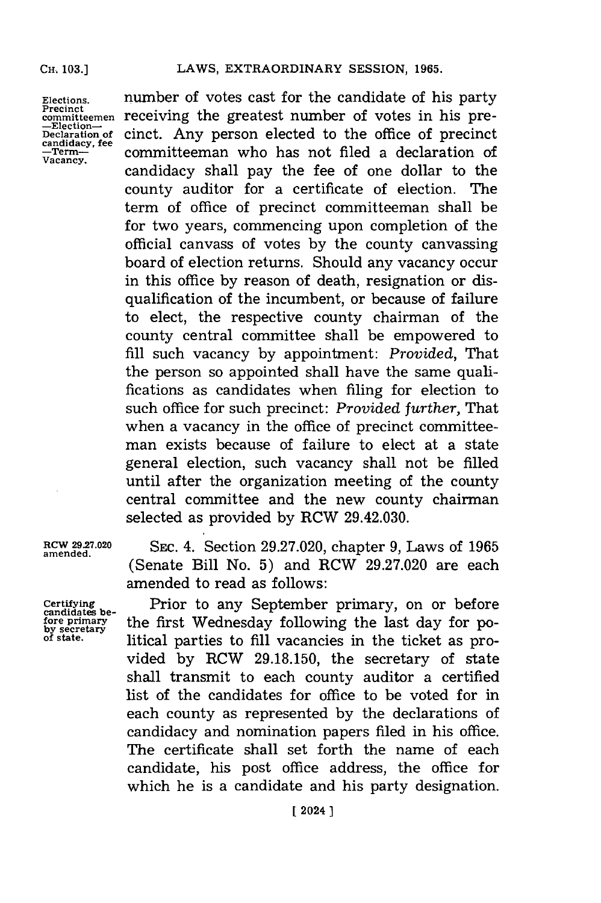#### **CH.. 103.]**

**Elections. Precinct committeemen -Election-Declaration of candidacy, fee -Term-Vacancy.**

number of votes cast for the candidate of his party receiving the greatest number of votes in his precinct. Any person elected to the office of precinct committeeman who has not filed a declaration of candidacy shall pay the fee of one dollar to the county auditor for a certificate of election. The term of office of precinct committeeman shall be for two years, commencing upon completion of the official canvass of votes **by** the county canvassing board of election returns. Should any vacancy occur in this office **by** reason of death, resignation or disqualification of the incumbent, or because of failure to elect, the respective county chairman of the county central committee shall be empowered to **fill** such vacancy **by** appointment: *Provided,* That the person so appointed shall have the same qualifications as candidates when filing for election to such office for such precinct: *Provided further,* That when a vacancy in the office of precinct committeeman exists because of failure to elect at a state general election, such vacancy shall not be filled until after the organization meeting of the county central committee and the new county chairman selected as provided **by** RCW 29.42.030.

**Certifying candidates before primary by secretary of state.**

amende..0 **SEC.** 4. Section **29.27.020,** chapter **9,** Laws of **1965** (Senate Bill No. **5)** and RCW **29.27.020** are each amended to read as follows:

> Prior to any September primary, on or before the first Wednesday following the last day for political parties to **fill** vacancies in the ticket as provided **by** RCW **29.18.150,** the secretary of state shall transmit to each county auditor a certified list of the candidates for office to be voted for in each county as represented **by** the declarations of candidacy and nomination papers filed in his office. The certificate shall set forth the name of each candidate, his post office address, the office for which he is a candidate and his party designation.